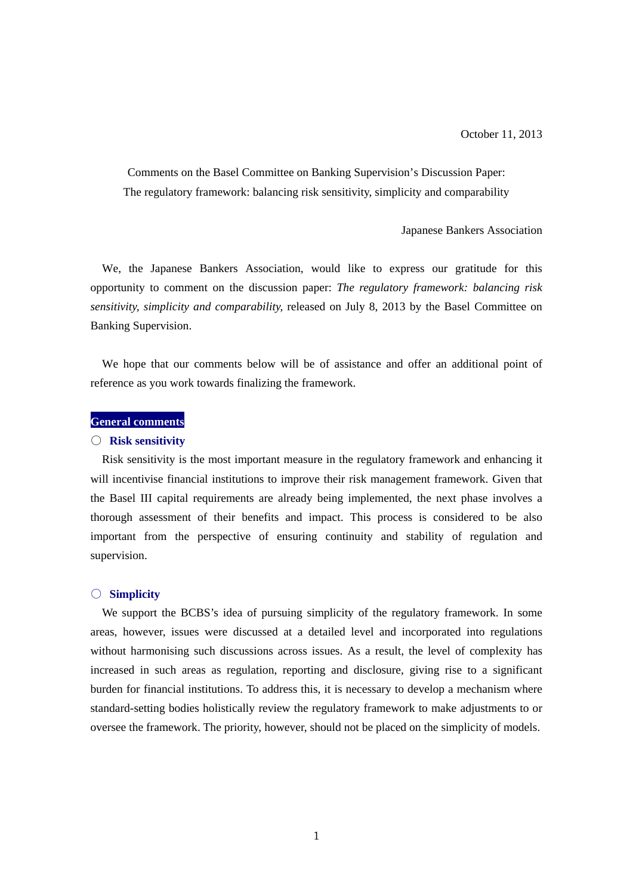Comments on the Basel Committee on Banking Supervision's Discussion Paper: The regulatory framework: balancing risk sensitivity, simplicity and comparability

Japanese Bankers Association

We, the Japanese Bankers Association, would like to express our gratitude for this opportunity to comment on the discussion paper: *The regulatory framework: balancing risk sensitivity, simplicity and comparability,* released on July 8, 2013 by the Basel Committee on Banking Supervision.

We hope that our comments below will be of assistance and offer an additional point of reference as you work towards finalizing the framework.

### **General comments**

#### ○ **Risk sensitivity**

Risk sensitivity is the most important measure in the regulatory framework and enhancing it will incentivise financial institutions to improve their risk management framework. Given that the Basel III capital requirements are already being implemented, the next phase involves a thorough assessment of their benefits and impact. This process is considered to be also important from the perspective of ensuring continuity and stability of regulation and supervision.

#### ○ **Simplicity**

We support the BCBS's idea of pursuing simplicity of the regulatory framework. In some areas, however, issues were discussed at a detailed level and incorporated into regulations without harmonising such discussions across issues. As a result, the level of complexity has increased in such areas as regulation, reporting and disclosure, giving rise to a significant burden for financial institutions. To address this, it is necessary to develop a mechanism where standard-setting bodies holistically review the regulatory framework to make adjustments to or oversee the framework. The priority, however, should not be placed on the simplicity of models.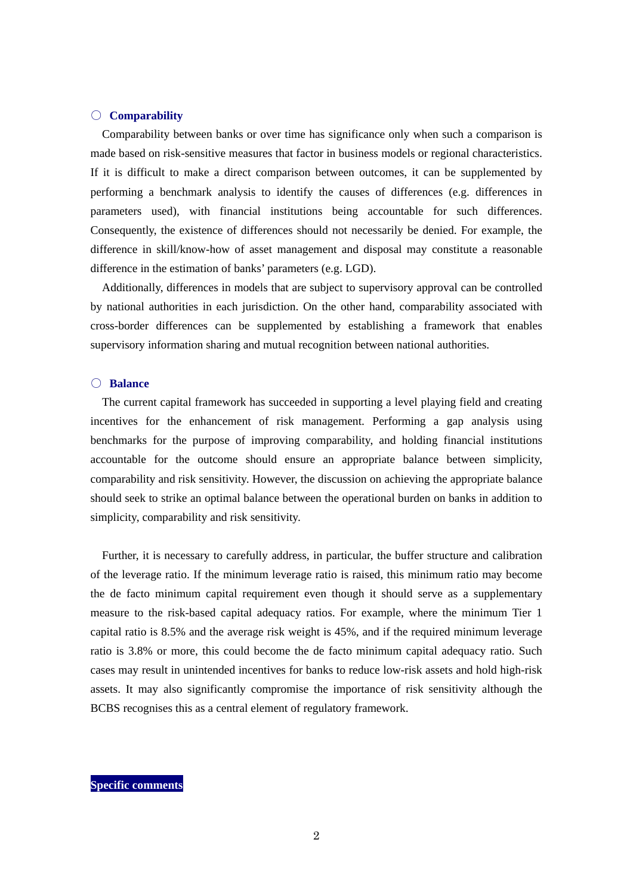## ○ **Comparability**

Comparability between banks or over time has significance only when such a comparison is made based on risk-sensitive measures that factor in business models or regional characteristics. If it is difficult to make a direct comparison between outcomes, it can be supplemented by performing a benchmark analysis to identify the causes of differences (e.g. differences in parameters used), with financial institutions being accountable for such differences. Consequently, the existence of differences should not necessarily be denied. For example, the difference in skill/know-how of asset management and disposal may constitute a reasonable difference in the estimation of banks' parameters (e.g. LGD).

Additionally, differences in models that are subject to supervisory approval can be controlled by national authorities in each jurisdiction. On the other hand, comparability associated with cross-border differences can be supplemented by establishing a framework that enables supervisory information sharing and mutual recognition between national authorities.

## ○ **Balance**

The current capital framework has succeeded in supporting a level playing field and creating incentives for the enhancement of risk management. Performing a gap analysis using benchmarks for the purpose of improving comparability, and holding financial institutions accountable for the outcome should ensure an appropriate balance between simplicity, comparability and risk sensitivity. However, the discussion on achieving the appropriate balance should seek to strike an optimal balance between the operational burden on banks in addition to simplicity, comparability and risk sensitivity.

Further, it is necessary to carefully address, in particular, the buffer structure and calibration of the leverage ratio. If the minimum leverage ratio is raised, this minimum ratio may become the de facto minimum capital requirement even though it should serve as a supplementary measure to the risk-based capital adequacy ratios. For example, where the minimum Tier 1 capital ratio is 8.5% and the average risk weight is 45%, and if the required minimum leverage ratio is 3.8% or more, this could become the de facto minimum capital adequacy ratio. Such cases may result in unintended incentives for banks to reduce low-risk assets and hold high-risk assets. It may also significantly compromise the importance of risk sensitivity although the BCBS recognises this as a central element of regulatory framework.

**Specific comments**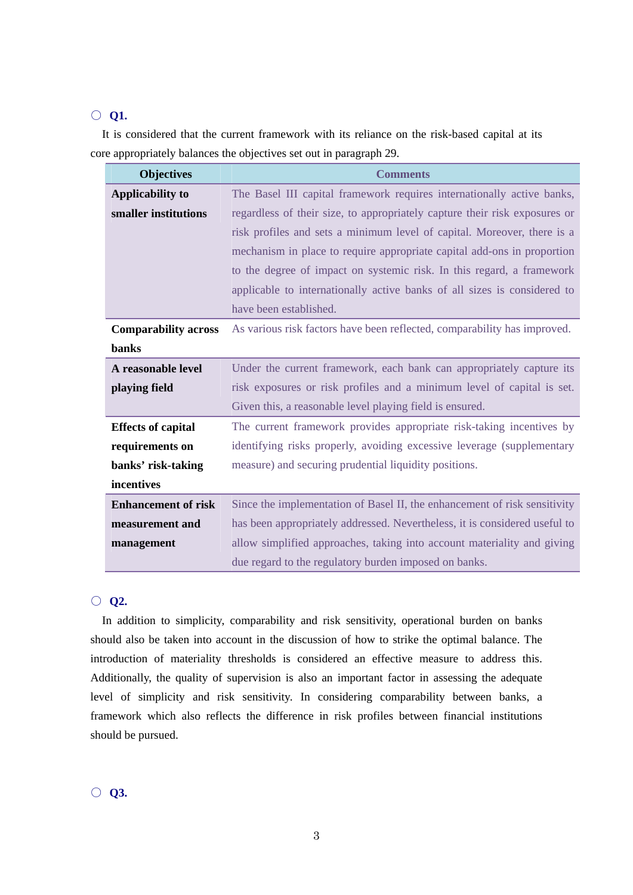# ○ **Q1.**

It is considered that the current framework with its reliance on the risk-based capital at its core appropriately balances the objectives set out in paragraph 29.

| <b>Objectives</b>           | <b>Comments</b>                                                            |
|-----------------------------|----------------------------------------------------------------------------|
| <b>Applicability to</b>     | The Basel III capital framework requires internationally active banks,     |
| smaller institutions        | regardless of their size, to appropriately capture their risk exposures or |
|                             | risk profiles and sets a minimum level of capital. Moreover, there is a    |
|                             | mechanism in place to require appropriate capital add-ons in proportion    |
|                             | to the degree of impact on systemic risk. In this regard, a framework      |
|                             | applicable to internationally active banks of all sizes is considered to   |
|                             | have been established.                                                     |
| <b>Comparability across</b> | As various risk factors have been reflected, comparability has improved.   |
| <b>banks</b>                |                                                                            |
| A reasonable level          | Under the current framework, each bank can appropriately capture its       |
| playing field               | risk exposures or risk profiles and a minimum level of capital is set.     |
|                             | Given this, a reasonable level playing field is ensured.                   |
| <b>Effects of capital</b>   | The current framework provides appropriate risk-taking incentives by       |
| requirements on             | identifying risks properly, avoiding excessive leverage (supplementary     |
| banks' risk-taking          | measure) and securing prudential liquidity positions.                      |
| incentives                  |                                                                            |
| <b>Enhancement of risk</b>  | Since the implementation of Basel II, the enhancement of risk sensitivity  |
| measurement and             | has been appropriately addressed. Nevertheless, it is considered useful to |
| management                  | allow simplified approaches, taking into account materiality and giving    |
|                             | due regard to the regulatory burden imposed on banks.                      |

# ○ **Q2.**

In addition to simplicity, comparability and risk sensitivity, operational burden on banks should also be taken into account in the discussion of how to strike the optimal balance. The introduction of materiality thresholds is considered an effective measure to address this. Additionally, the quality of supervision is also an important factor in assessing the adequate level of simplicity and risk sensitivity. In considering comparability between banks, a framework which also reflects the difference in risk profiles between financial institutions should be pursued.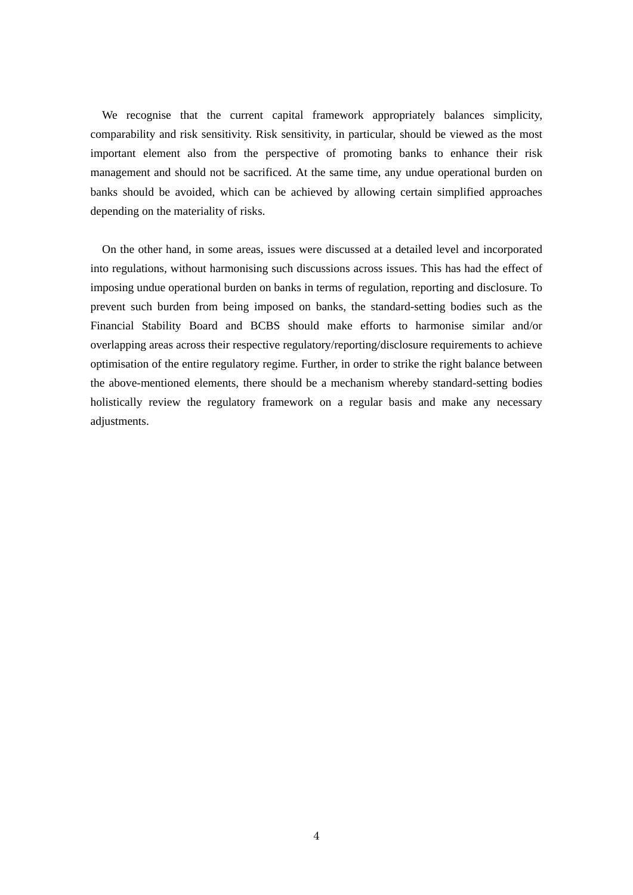We recognise that the current capital framework appropriately balances simplicity, comparability and risk sensitivity. Risk sensitivity, in particular, should be viewed as the most important element also from the perspective of promoting banks to enhance their risk management and should not be sacrificed. At the same time, any undue operational burden on banks should be avoided, which can be achieved by allowing certain simplified approaches depending on the materiality of risks.

On the other hand, in some areas, issues were discussed at a detailed level and incorporated into regulations, without harmonising such discussions across issues. This has had the effect of imposing undue operational burden on banks in terms of regulation, reporting and disclosure. To prevent such burden from being imposed on banks, the standard-setting bodies such as the Financial Stability Board and BCBS should make efforts to harmonise similar and/or overlapping areas across their respective regulatory/reporting/disclosure requirements to achieve optimisation of the entire regulatory regime. Further, in order to strike the right balance between the above-mentioned elements, there should be a mechanism whereby standard-setting bodies holistically review the regulatory framework on a regular basis and make any necessary adjustments.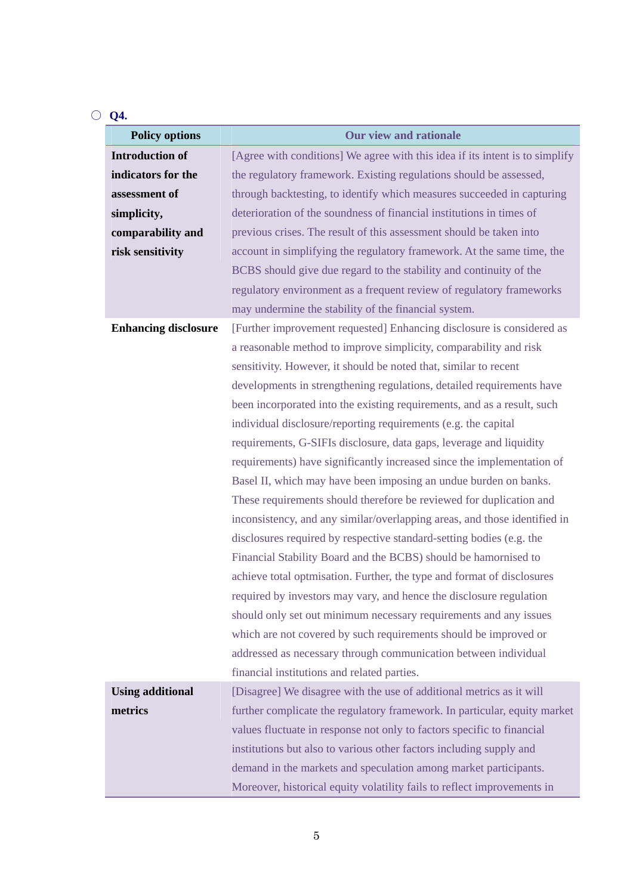# ○ **Q4.**

| <b>Policy options</b>       | <b>Our view and rationale</b>                                                |
|-----------------------------|------------------------------------------------------------------------------|
| <b>Introduction of</b>      | [Agree with conditions] We agree with this idea if its intent is to simplify |
| indicators for the          | the regulatory framework. Existing regulations should be assessed,           |
| assessment of               | through backtesting, to identify which measures succeeded in capturing       |
| simplicity,                 | deterioration of the soundness of financial institutions in times of         |
| comparability and           | previous crises. The result of this assessment should be taken into          |
| risk sensitivity            | account in simplifying the regulatory framework. At the same time, the       |
|                             | BCBS should give due regard to the stability and continuity of the           |
|                             | regulatory environment as a frequent review of regulatory frameworks         |
|                             | may undermine the stability of the financial system.                         |
| <b>Enhancing disclosure</b> | [Further improvement requested] Enhancing disclosure is considered as        |
|                             | a reasonable method to improve simplicity, comparability and risk            |
|                             | sensitivity. However, it should be noted that, similar to recent             |
|                             | developments in strengthening regulations, detailed requirements have        |
|                             | been incorporated into the existing requirements, and as a result, such      |
|                             | individual disclosure/reporting requirements (e.g. the capital               |
|                             | requirements, G-SIFIs disclosure, data gaps, leverage and liquidity          |
|                             | requirements) have significantly increased since the implementation of       |
|                             | Basel II, which may have been imposing an undue burden on banks.             |
|                             | These requirements should therefore be reviewed for duplication and          |
|                             | inconsistency, and any similar/overlapping areas, and those identified in    |
|                             | disclosures required by respective standard-setting bodies (e.g. the         |
|                             | Financial Stability Board and the BCBS) should be hamornised to              |
|                             | achieve total optmisation. Further, the type and format of disclosures       |
|                             | required by investors may vary, and hence the disclosure regulation          |
|                             | should only set out minimum necessary requirements and any issues            |
|                             | which are not covered by such requirements should be improved or             |
|                             | addressed as necessary through communication between individual              |
|                             | financial institutions and related parties.                                  |
| <b>Using additional</b>     | [Disagree] We disagree with the use of additional metrics as it will         |
| metrics                     | further complicate the regulatory framework. In particular, equity market    |
|                             | values fluctuate in response not only to factors specific to financial       |
|                             | institutions but also to various other factors including supply and          |
|                             | demand in the markets and speculation among market participants.             |
|                             | Moreover, historical equity volatility fails to reflect improvements in      |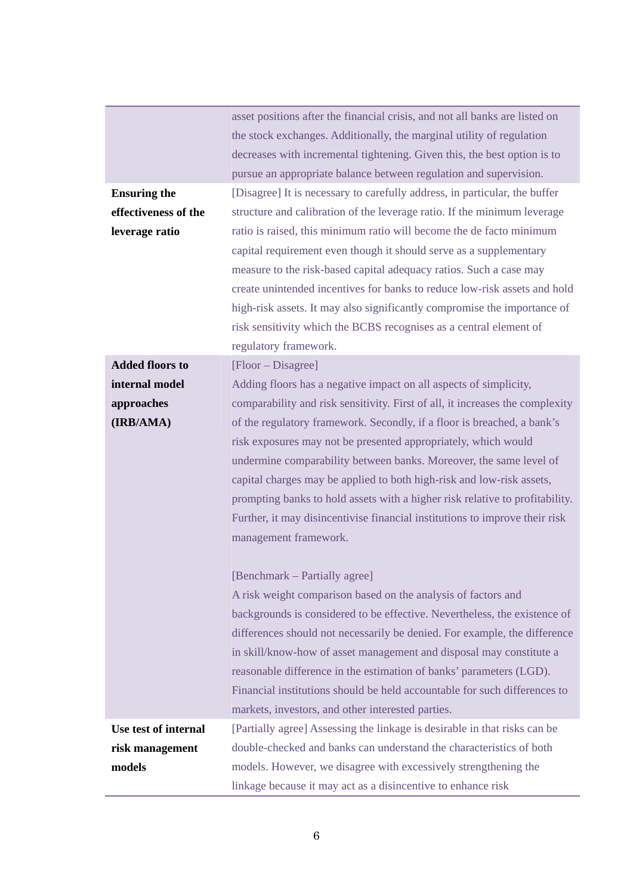|                        | asset positions after the financial crisis, and not all banks are listed on   |
|------------------------|-------------------------------------------------------------------------------|
|                        | the stock exchanges. Additionally, the marginal utility of regulation         |
|                        | decreases with incremental tightening. Given this, the best option is to      |
|                        | pursue an appropriate balance between regulation and supervision.             |
| <b>Ensuring the</b>    | [Disagree] It is necessary to carefully address, in particular, the buffer    |
| effectiveness of the   | structure and calibration of the leverage ratio. If the minimum leverage      |
| leverage ratio         | ratio is raised, this minimum ratio will become the de facto minimum          |
|                        | capital requirement even though it should serve as a supplementary            |
|                        | measure to the risk-based capital adequacy ratios. Such a case may            |
|                        | create unintended incentives for banks to reduce low-risk assets and hold     |
|                        | high-risk assets. It may also significantly compromise the importance of      |
|                        | risk sensitivity which the BCBS recognises as a central element of            |
|                        | regulatory framework.                                                         |
| <b>Added floors to</b> | [Floor – Disagree]                                                            |
| internal model         | Adding floors has a negative impact on all aspects of simplicity,             |
| approaches             | comparability and risk sensitivity. First of all, it increases the complexity |
| (IRB/AMA)              | of the regulatory framework. Secondly, if a floor is breached, a bank's       |
|                        | risk exposures may not be presented appropriately, which would                |
|                        | undermine comparability between banks. Moreover, the same level of            |
|                        | capital charges may be applied to both high-risk and low-risk assets,         |
|                        | prompting banks to hold assets with a higher risk relative to profitability.  |
|                        | Further, it may disincentivise financial institutions to improve their risk   |
|                        | management framework.                                                         |
|                        | [Benchmark – Partially agree]                                                 |
|                        | A risk weight comparison based on the analysis of factors and                 |
|                        | backgrounds is considered to be effective. Nevertheless, the existence of     |
|                        | differences should not necessarily be denied. For example, the difference     |
|                        | in skill/know-how of asset management and disposal may constitute a           |
|                        | reasonable difference in the estimation of banks' parameters (LGD).           |
|                        | Financial institutions should be held accountable for such differences to     |
|                        | markets, investors, and other interested parties.                             |
| Use test of internal   | [Partially agree] Assessing the linkage is desirable in that risks can be     |
| risk management        | double-checked and banks can understand the characteristics of both           |
| models                 | models. However, we disagree with excessively strengthening the               |
|                        | linkage because it may act as a disincentive to enhance risk                  |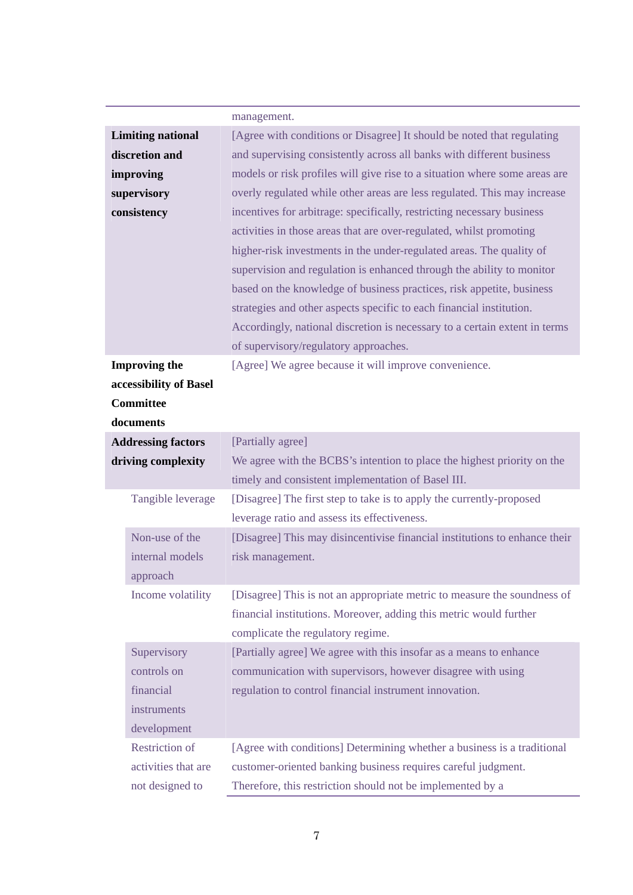|                           | management.                                                                                                                              |
|---------------------------|------------------------------------------------------------------------------------------------------------------------------------------|
| <b>Limiting national</b>  | [Agree with conditions or Disagree] It should be noted that regulating                                                                   |
| discretion and            | and supervising consistently across all banks with different business                                                                    |
| improving                 | models or risk profiles will give rise to a situation where some areas are                                                               |
| supervisory               | overly regulated while other areas are less regulated. This may increase                                                                 |
| consistency               | incentives for arbitrage: specifically, restricting necessary business                                                                   |
|                           | activities in those areas that are over-regulated, whilst promoting                                                                      |
|                           | higher-risk investments in the under-regulated areas. The quality of                                                                     |
|                           | supervision and regulation is enhanced through the ability to monitor                                                                    |
|                           | based on the knowledge of business practices, risk appetite, business                                                                    |
|                           | strategies and other aspects specific to each financial institution.                                                                     |
|                           | Accordingly, national discretion is necessary to a certain extent in terms                                                               |
|                           | of supervisory/regulatory approaches.                                                                                                    |
| <b>Improving the</b>      | [Agree] We agree because it will improve convenience.                                                                                    |
| accessibility of Basel    |                                                                                                                                          |
| <b>Committee</b>          |                                                                                                                                          |
| documents                 |                                                                                                                                          |
| <b>Addressing factors</b> | [Partially agree]                                                                                                                        |
| driving complexity        | We agree with the BCBS's intention to place the highest priority on the                                                                  |
|                           | timely and consistent implementation of Basel III.                                                                                       |
| Tangible leverage         | [Disagree] The first step to take is to apply the currently-proposed                                                                     |
|                           | leverage ratio and assess its effectiveness.                                                                                             |
| Non-use of the            | [Disagree] This may disincentivise financial institutions to enhance their                                                               |
| internal models           | risk management.                                                                                                                         |
| approach                  |                                                                                                                                          |
| Income volatility         | [Disagree] This is not an appropriate metric to measure the soundness of                                                                 |
|                           | financial institutions. Moreover, adding this metric would further                                                                       |
|                           | complicate the regulatory regime.                                                                                                        |
| Supervisory               | [Partially agree] We agree with this insofar as a means to enhance                                                                       |
| controls on               | communication with supervisors, however disagree with using                                                                              |
| financial                 | regulation to control financial instrument innovation.                                                                                   |
| instruments               |                                                                                                                                          |
| development               |                                                                                                                                          |
| <b>Restriction of</b>     |                                                                                                                                          |
|                           |                                                                                                                                          |
| not designed to           | Therefore, this restriction should not be implemented by a                                                                               |
| activities that are       | [Agree with conditions] Determining whether a business is a traditional<br>customer-oriented banking business requires careful judgment. |